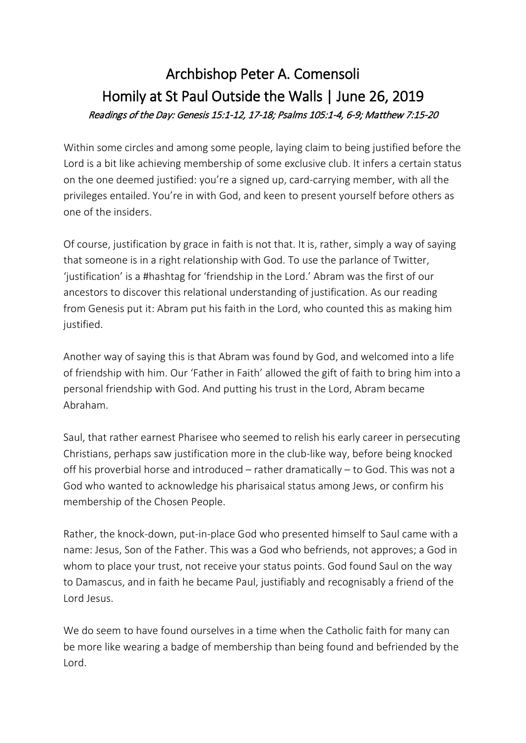## Archbishop Peter A. Comensoli Homily at St Paul Outside the Walls | June 26, 2019 Readings of the Day: Genesis 15:1-12, 17-18; Psalms 105:1-4, 6-9; Matthew 7:15-20

Within some circles and among some people, laying claim to being justified before the Lord is a bit like achieving membership of some exclusive club. It infers a certain status on the one deemed justified: you're a signed up, card-carrying member, with all the privileges entailed. You're in with God, and keen to present yourself before others as one of the insiders.

Of course, justification by grace in faith is not that. It is, rather, simply a way of saying that someone is in a right relationship with God. To use the parlance of Twitter, 'justification' is a #hashtag for 'friendship in the Lord.' Abram was the first of our ancestors to discover this relational understanding of justification. As our reading from Genesis put it: Abram put his faith in the Lord, who counted this as making him justified.

Another way of saying this is that Abram was found by God, and welcomed into a life of friendship with him. Our 'Father in Faith' allowed the gift of faith to bring him into a personal friendship with God. And putting his trust in the Lord, Abram became Abraham.

Saul, that rather earnest Pharisee who seemed to relish his early career in persecuting Christians, perhaps saw justification more in the club-like way, before being knocked off his proverbial horse and introduced – rather dramatically – to God. This was not a God who wanted to acknowledge his pharisaical status among Jews, or confirm his membership of the Chosen People.

Rather, the knock-down, put-in-place God who presented himself to Saul came with a name: Jesus, Son of the Father. This was a God who befriends, not approves; a God in whom to place your trust, not receive your status points. God found Saul on the way to Damascus, and in faith he became Paul, justifiably and recognisably a friend of the Lord Jesus.

We do seem to have found ourselves in a time when the Catholic faith for many can be more like wearing a badge of membership than being found and befriended by the Lord.